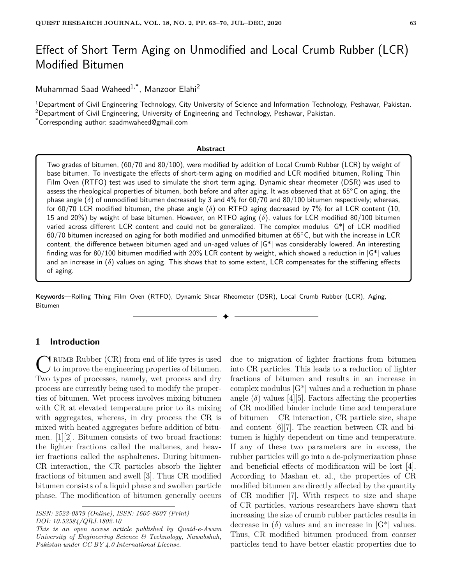# Effect of Short Term Aging on Unmodified and Local Crumb Rubber (LCR) Modified Bitumen

Muhammad Saad Waheed1,\*, Manzoor Elahi<sup>2</sup>

<sup>1</sup>Department of Civil Engineering Technology, City University of Science and Information Technology, Peshawar, Pakistan. <sup>2</sup>Department of Civil Engineering, University of Engineering and Technology, Peshawar, Pakistan.

\*Corresponding author: saadmwaheed@gmail.com

#### **Abstract**

Two grades of bitumen, (60/70 and 80/100), were modified by addition of Local Crumb Rubber (LCR) by weight of base bitumen. To investigate the effects of short-term aging on modified and LCR modified bitumen, Rolling Thin Film Oven (RTFO) test was used to simulate the short term aging. Dynamic shear rheometer (DSR) was used to assess the rheological properties of bitumen, both before and after aging. It was observed that at 65◦C on aging, the phase angle  $(\delta)$  of unmodified bitumen decreased by 3 and 4% for 60/70 and 80/100 bitumen respectively; whereas, for 60/70 LCR modified bitumen, the phase angle (*δ*) on RTFO aging decreased by 7% for all LCR content (10, 15 and 20%) by weight of base bitumen. However, on RTFO aging (*δ*), values for LCR modified 80/100 bitumen varied across different LCR content and could not be generalized. The complex modulus |G\*| of LCR modified 60/70 bitumen increased on aging for both modified and unmodified bitumen at 65◦C, but with the increase in LCR content, the difference between bitumen aged and un-aged values of  $|G^*|$  was considerably lowered. An interesting finding was for 80/100 bitumen modified with 20% LCR content by weight, which showed a reduction in  $|G^*|$  values and an increase in (*δ*) values on aging. This shows that to some extent, LCR compensates for the stiffening effects of aging.

**Keywords**—Rolling Thing Film Oven (RTFO), Dynamic Shear Rheometer (DSR), Local Crumb Rubber (LCR), Aging, Bitumen

✦

# **1 Introduction**

C RUMB Rubber (CR) from end of life tyres is used<br>to improve the engineering properties of bitumen.<br>Two types of processes, namely, wet process and dry **T** RUMB Rubber (CR) from end of life tyres is used to improve the engineering properties of bitumen. process are currently being used to modify the properties of bitumen. Wet process involves mixing bitumen with CR at elevated temperature prior to its mixing with aggregates, whereas, in dry process the CR is mixed with heated aggregates before addition of bitumen. [1][2]. Bitumen consists of two broad fractions: the lighter fractions called the maltenes, and heavier fractions called the asphaltenes. During bitumen-CR interaction, the CR particles absorb the lighter fractions of bitumen and swell [3]. Thus CR modified bitumen consists of a liquid phase and swollen particle phase. The modification of bitumen generally occurs

due to migration of lighter fractions from bitumen into CR particles. This leads to a reduction of lighter fractions of bitumen and results in an increase in complex modulus  $|G^*|$  values and a reduction in phase angle  $(\delta)$  values [4][5]. Factors affecting the properties of CR modified binder include time and temperature of bitumen – CR interaction, CR particle size, shape and content [6][7]. The reaction between CR and bitumen is highly dependent on time and temperature. If any of these two parameters are in excess, the rubber particles will go into a de-polymerization phase and beneficial effects of modification will be lost [4]. According to Mashan et. al., the properties of CR modified bitumen are directly affected by the quantity of CR modifier [7]. With respect to size and shape of CR particles, various researchers have shown that increasing the size of crumb rubber particles results in decrease in  $(\delta)$  values and an increase in  $|G^*|$  values. Thus, CR modified bitumen produced from coarser particles tend to have better elastic properties due to

*ISSN: 2523-0379 (Online), ISSN: 1605-8607 (Print) DOI: 10.52584/QRJ.1802.10*

*This is an open access article published by Quaid-e-Awam University of Engineering Science & Technology, Nawabshah, Pakistan under CC BY 4.0 International License.*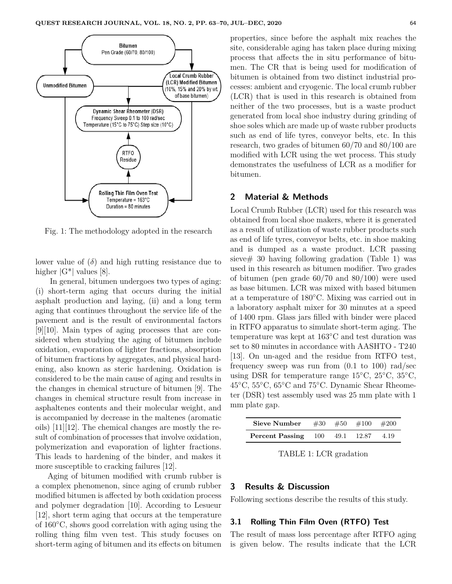

Fig. 1: The methodology adopted in the research

lower value of  $(\delta)$  and high rutting resistance due to higher  $|G^*|$  values [8].

In general, bitumen undergoes two types of aging: (i) short-term aging that occurs during the initial asphalt production and laying, (ii) and a long term aging that continues throughout the service life of the pavement and is the result of environmental factors [9][10]. Main types of aging processes that are considered when studying the aging of bitumen include oxidation, evaporation of lighter fractions, absorption of bitumen fractions by aggregates, and physical hardening, also known as steric hardening. Oxidation is considered to be the main cause of aging and results in the changes in chemical structure of bitumen [9]. The changes in chemical structure result from increase in asphaltenes contents and their molecular weight, and is accompanied by decrease in the maltenes (aromatic oils) [11][12]. The chemical changes are mostly the result of combination of processes that involve oxidation, polymerization and evaporation of lighter fractions. This leads to hardening of the binder, and makes it more susceptible to cracking failures [12].

Aging of bitumen modified with crumb rubber is a complex phenomenon, since aging of crumb rubber modified bitumen is affected by both oxidation process and polymer degradation [10]. According to Lesueur [12], short term aging that occurs at the temperature of 160◦C, shows good correlation with aging using the rolling thing film vven test. This study focuses on short-term aging of bitumen and its effects on bitumen

properties, since before the asphalt mix reaches the site, considerable aging has taken place during mixing process that affects the in situ performance of bitumen. The CR that is being used for modification of bitumen is obtained from two distinct industrial processes: ambient and cryogenic. The local crumb rubber (LCR) that is used in this research is obtained from neither of the two processes, but is a waste product generated from local shoe industry during grinding of shoe soles which are made up of waste rubber products such as end of life tyres, conveyor belts, etc. In this research, two grades of bitumen 60/70 and 80/100 are modified with LCR using the wet process. This study demonstrates the usefulness of LCR as a modifier for bitumen.

# **2 Material & Methods**

Local Crumb Rubber (LCR) used for this research was obtained from local shoe makers, where it is generated as a result of utilization of waste rubber products such as end of life tyres, conveyor belts, etc. in shoe making and is dumped as a waste product. LCR passing sieve# 30 having following gradation (Table 1) was used in this research as bitumen modifier. Two grades of bitumen (pen grade 60/70 and 80/100) were used as base bitumen. LCR was mixed with based bitumen at a temperature of 180◦C. Mixing was carried out in a laboratory asphalt mixer for 30 minutes at a speed of 1400 rpm. Glass jars filled with binder were placed in RTFO apparatus to simulate short-term aging. The temperature was kept at 163◦C and test duration was set to 80 minutes in accordance with AASHTO - T240 [13]. On un-aged and the residue from RTFO test, frequency sweep was run from (0.1 to 100) rad/sec using DSR for temperature range  $15^{\circ}$ C,  $25^{\circ}$ C,  $35^{\circ}$ C, 45◦C, 55◦C, 65◦C and 75◦C. Dynamic Shear Rheometer (DSR) test assembly used was 25 mm plate with 1 mm plate gap.

| Sieve Number               |  | $\#30 \quad \#50 \quad \#100 \quad \#200$ |      |
|----------------------------|--|-------------------------------------------|------|
| <b>Percent Passing</b> 100 |  | 49.1 12.87                                | 4.19 |

TABLE 1: LCR gradation

# **3 Results & Discussion**

Following sections describe the results of this study.

## **3.1 Rolling Thin Film Oven (RTFO) Test**

The result of mass loss percentage after RTFO aging is given below. The results indicate that the LCR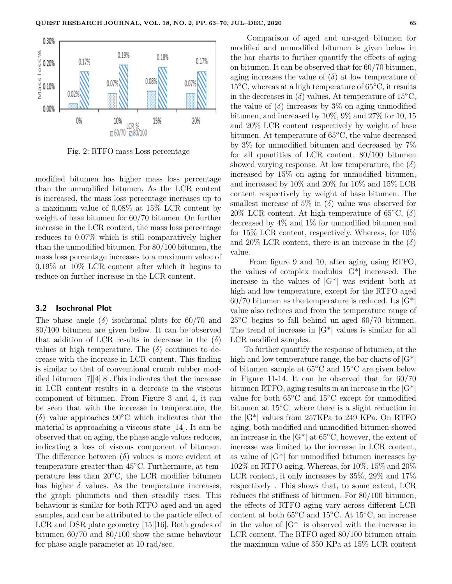

Fig. 2: RTFO mass Loss percentage

modified bitumen has higher mass loss percentage than the unmodified bitumen. As the LCR content is increased, the mass loss percentage increases up to a maximum value of 0.08% at 15% LCR content by weight of base bitumen for 60/70 bitumen. On further increase in the LCR content, the mass loss percentage reduces to 0.07% which is still comparatively higher than the unmodified bitumen. For 80/100 bitumen, the mass loss percentage increases to a maximum value of 0.19% at 10% LCR content after which it begins to reduce on further increase in the LCR content.

### **3.2 Isochronal Plot**

The phase angle  $(\delta)$  isochronal plots for 60/70 and 80/100 bitumen are given below. It can be observed that addition of LCR results in decrease in the  $(\delta)$ values at high temperature. The  $(\delta)$  continues to decrease with the increase in LCR content. This finding is similar to that of conventional crumb rubber modified bitumen [7][4][8].This indicates that the increase in LCR content results in a decrease in the viscous component of bitumen. From Figure 3 and 4, it can be seen that with the increase in temperature, the  $(\delta)$  value approaches 90<sup>°</sup>C which indicates that the material is approaching a viscous state [14]. It can be observed that on aging, the phase angle values reduces, indicating a loss of viscous component of bitumen. The difference between (*δ*) values is more evident at temperature greater than 45◦C. Furthermore, at temperature less than 20◦C, the LCR modifier bitumen has higher  $\delta$  values. As the temperature increases, the graph plummets and then steadily rises. This behaviour is similar for both RTFO-aged and un-aged samples, and can be attributed to the particle effect of LCR and DSR plate geometry [15][16]. Both grades of bitumen 60/70 and 80/100 show the same behaviour for phase angle parameter at 10 rad/sec.

Comparison of aged and un-aged bitumen for modified and unmodified bitumen is given below in the bar charts to further quantify the effects of aging on bitumen. It can be observed that for 60/70 bitumen, aging increases the value of  $(\delta)$  at low temperature of 15◦C, whereas at a high temperature of 65◦C, it results in the decreases in  $(\delta)$  values. At temperature of 15<sup>°</sup>C, the value of  $(\delta)$  increases by 3\% on aging unmodified bitumen, and increased by 10%, 9% and 27% for 10, 15 and 20% LCR content respectively by weight of base bitumen. At temperature of 65◦C, the value decreased by 3% for unmodified bitumen and decreased by 7% for all quantities of LCR content. 80/100 bitumen showed varying response. At low temperature, the  $(\delta)$ increased by 15% on aging for unmodified bitumen, and increased by 10% and 20% for 10% and 15% LCR content respectively by weight of base bitumen. The smallest increase of 5\% in  $(\delta)$  value was observed for 20% LCR content. At high temperature of  $65^{\circ}$ C,  $(\delta)$ decreased by 4% and 1% for unmodified bitumen and for 15% LCR content, respectively. Whereas, for 10% and 20% LCR content, there is an increase in the  $(\delta)$ value.

From figure 9 and 10, after aging using RTFO, the values of complex modulus  $|G^*|$  increased. The increase in the values of  $|G^*|$  was evident both at high and low temperature, except for the RTFO aged  $60/70$  bitumen as the temperature is reduced. Its  $|G^*|$ value also reduces and from the temperature range of  $25^{\circ}$ C begins to fall behind un-aged 60/70 bitumen. The trend of increase in  $|G^*|$  values is similar for all LCR modified samples.

To further quantify the response of bitumen, at the high and low temperature range, the bar charts of  $|G^*|$ of bitumen sample at 65◦C and 15◦C are given below in Figure 11-14. It can be observed that for 60/70 bitumen RTFO, aging results in an increase in the  $|G^*|$ value for both 65◦C and 15◦C except for unmodified bitumen at 15◦C, where there is a slight reduction in the |G\*| values from 257KPa to 249 KPa. On RTFO aging, both modified and unmodified bitumen showed an increase in the  $|G^*|$  at 65 $°C$ , however, the extent of increase was limited to the increase in LCR content, as value of  $|G^*|$  for unmodified bitumen increases by 102% on RTFO aging. Whereas, for 10%, 15% and 20% LCR content, it only increases by 35%, 29% and 17% respectively . This shows that, to some extent, LCR reduces the stiffness of bitumen. For 80/100 bitumen, the effects of RTFO aging vary across different LCR content at both 65◦C and 15◦C. At 15◦C, an increase in the value of  $|G^*|$  is observed with the increase in LCR content. The RTFO aged 80/100 bitumen attain the maximum value of 350 KPa at 15% LCR content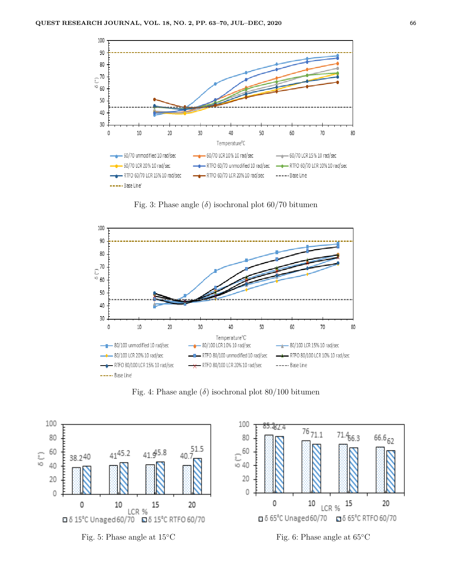

Fig. 3: Phase angle  $(\delta)$  isochronal plot 60/70 bitumen



Fig. 4: Phase angle  $(\delta)$  isochronal plot 80/100 bitumen







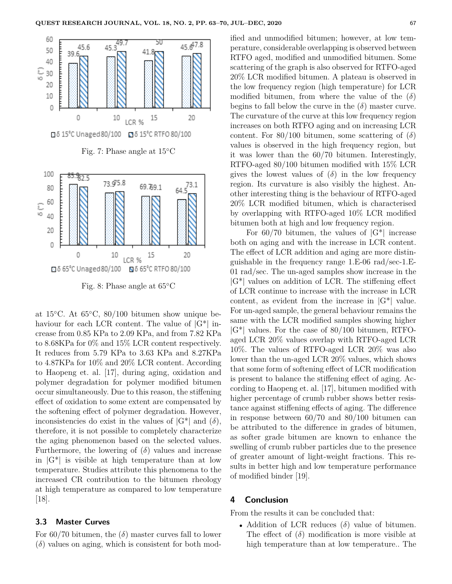

Fig. 8: Phase angle at 65◦C

at 15◦C. At 65◦C, 80/100 bitumen show unique behaviour for each LCR content. The value of  $|G^*|$  increase from 0.85 KPa to 2.09 KPa, and from 7.82 KPa to 8.68KPa for 0% and 15% LCR content respectively. It reduces from 5.79 KPa to 3.63 KPa and 8.27KPa to 4.87KPa for 10% and 20% LCR content. According to Haopeng et. al. [17], during aging, oxidation and polymer degradation for polymer modified bitumen occur simultaneously. Due to this reason, the stiffening effect of oxidation to some extent are compensated by the softening effect of polymer degradation. However, inconsistencies do exist in the values of  $|G^*|$  and  $(\delta)$ , therefore, it is not possible to completely characterize the aging phenomenon based on the selected values. Furthermore, the lowering of  $(\delta)$  values and increase in  $|G^*|$  is visible at high temperature than at low temperature. Studies attribute this phenomena to the increased CR contribution to the bitumen rheology at high temperature as compared to low temperature [18].

#### **3.3 Master Curves**

For  $60/70$  bitumen, the  $(\delta)$  master curves fall to lower  $(\delta)$  values on aging, which is consistent for both modified and unmodified bitumen; however, at low temperature, considerable overlapping is observed between RTFO aged, modified and unmodified bitumen. Some scattering of the graph is also observed for RTFO-aged 20% LCR modified bitumen. A plateau is observed in the low frequency region (high temperature) for LCR modified bitumen, from where the value of the  $(\delta)$ begins to fall below the curve in the  $(\delta)$  master curve. The curvature of the curve at this low frequency region increases on both RTFO aging and on increasing LCR content. For  $80/100$  bitumen, some scattering of  $(\delta)$ values is observed in the high frequency region, but it was lower than the 60/70 bitumen. Interestingly, RTFO-aged 80/100 bitumen modified with 15% LCR gives the lowest values of  $(\delta)$  in the low frequency region. Its curvature is also visibly the highest. Another interesting thing is the behaviour of RTFO-aged 20% LCR modified bitumen, which is characterised by overlapping with RTFO-aged 10% LCR modified bitumen both at high and low frequency region.

For  $60/70$  bitumen, the values of  $|G^*|$  increase both on aging and with the increase in LCR content. The effect of LCR addition and aging are more distinguishable in the frequency range 1.E-06 rad/sec-1.E-01 rad/sec. The un-aged samples show increase in the  $|G^*|$  values on addition of LCR. The stiffening effect of LCR continue to increase with the increase in LCR content, as evident from the increase in  $|G^*|$  value. For un-aged sample, the general behaviour remains the same with the LCR modified samples showing higher  $|G^*|$  values. For the case of 80/100 bitumen, RTFOaged LCR 20% values overlap with RTFO-aged LCR 10%. The values of RTFO-aged LCR 20% was also lower than the un-aged LCR 20% values, which shows that some form of softening effect of LCR modification is present to balance the stiffening effect of aging. According to Haopeng et. al. [17], bitumen modified with higher percentage of crumb rubber shows better resistance against stiffening effects of aging. The difference in response between 60/70 and 80/100 bitumen can be attributed to the difference in grades of bitumen, as softer grade bitumen are known to enhance the swelling of crumb rubber particles due to the presence of greater amount of light-weight fractions. This results in better high and low temperature performance of modified binder [19].

## **4 Conclusion**

From the results it can be concluded that:

• Addition of LCR reduces (*δ*) value of bitumen. The effect of  $(\delta)$  modification is more visible at high temperature than at low temperature.. The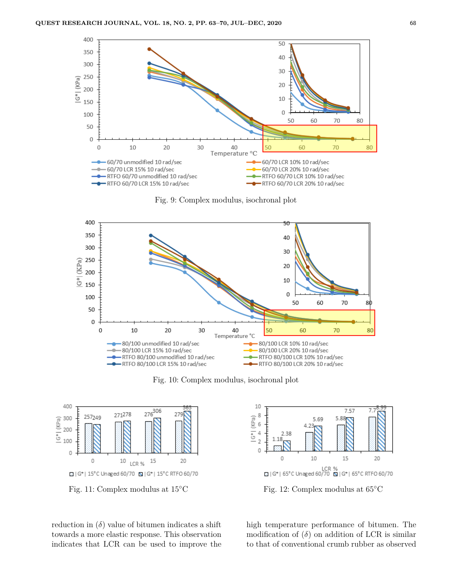

Fig. 9: Complex modulus, isochronal plot



Fig. 10: Complex modulus, isochronal plot



Fig. 11: Complex modulus at 15◦C

reduction in  $(\delta)$  value of bitumen indicates a shift towards a more elastic response. This observation indicates that LCR can be used to improve the



Fig. 12: Complex modulus at 65◦C

high temperature performance of bitumen. The modification of  $(\delta)$  on addition of LCR is similar to that of conventional crumb rubber as observed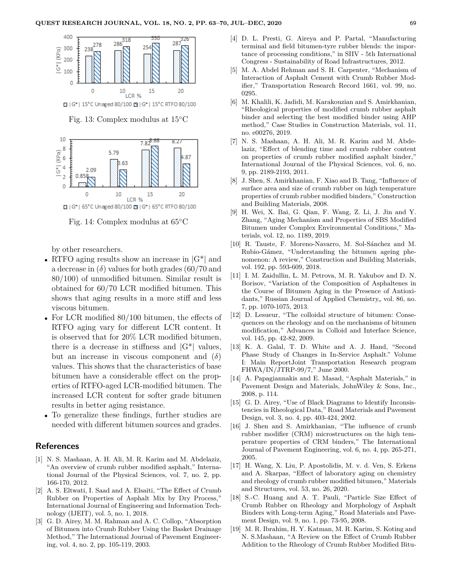

Fig. 13: Complex modulus at 15◦C



Fig. 14: Complex modulus at 65◦C

by other researchers.

- RTFO aging results show an increase in  $|G^*|$  and a decrease in  $(\delta)$  values for both grades  $(60/70)$  and 80/100) of unmodified bitumen. Similar result is obtained for 60/70 LCR modified bitumen. This shows that aging results in a more stiff and less viscous bitumen.
- For LCR modified  $80/100$  bitumen, the effects of RTFO aging vary for different LCR content. It is observed that for 20% LCR modified bitumen, there is a decrease in stiffness and  $|G^*|$  values, but an increase in viscous component and (*δ*) values. This shows that the characteristics of base bitumen have a considerable effect on the properties of RTFO-aged LCR-modified bitumen. The increased LCR content for softer grade bitumen results in better aging resistance.
- To generalize these findings, further studies are needed with different bitumen sources and grades.

### **References**

- [1] N. S. Mashaan, A. H. Ali, M. R. Karim and M. Abdelaziz, "An overview of crumb rubber modified asphalt," International Journal of the Physical Sciences, vol. 7, no. 2, pp. 166-170, 2012.
- [2] A. S. Eltwati, I. Saad and A. Elsaiti, "The Effect of Crumb Rubber on Properties of Asphalt Mix by Dry Process," International Journal of Engineering and Information Technology (IJEIT), vol. 5, no. 1, 2018.
- [3] G. D. Airey, M. M. Rahman and A. C. Collop, "Absorption of Bitumen into Crumb Rubber Using the Basket Drainage Method," The International Journal of Pavement Engineering, vol. 4, no. 2, pp. 105-119, 2003.
- [4] D. L. Presti, G. Aireya and P. Partal, "Manufacturing terminal and field bitumen-tyre rubber blends: the importance of processing conditions," in SIIV - 5th International Congress - Sustainability of Road Infrastructures, 2012.
- [5] M. A. Abdel Rehman and S. H. Carpenter, "Mechanism of Interaction of Asphalt Cement with Crumb Rubber Modifier," Transportation Research Record 1661, vol. 99, no. 0295.
- [6] M. Khalili, K. Jadidi, M. Karakouzian and S. Amirkhanian, "Rheological properties of modified crumb rubber asphalt binder and selecting the best modified binder using AHP method," Case Studies in Construction Materials, vol. 11, no. e00276, 2019.
- [7] N. S. Mashaan, A. H. Ali, M. R. Karim and M. Abdelaziz, "Effect of blending time and crumb rubber content on properties of crumb rubber modified asphalt binder," International Journal of the Physical Sciences, vol. 6, no. 9, pp. 2189-2193, 2011.
- [8] J. Shen, S. Amirkhanian, F. Xiao and B. Tang, "Influence of surface area and size of crumb rubber on high temperature properties of crumb rubber modified binders," Construction and Building Materials, 2008.
- [9] H. Wei, X. Bai, G. Qian, F. Wang, Z. Li, J. Jin and Y. Zhang, "Aging Mechanism and Properties of SBS Modified Bitumen under Complex Environmental Conditions," Materials, vol. 12, no. 1189, 2019.
- [10] R. Tauste, F. Moreno-Navarro, M. Sol-Sánchez and M. Rubio-Gámez, "Understanding the bitumen ageing phenomenon: A review," Construction and Building Materials, vol. 192, pp. 593-609, 2018.
- [11] I. M. Zaidullin, L. M. Petrova, M. R. Yakubov and D. N. Borisov, "Variation of the Composition of Asphaltenes in the Course of Bitumen Aging in the Presence of Antioxidants," Russian Journal of Applied Chemistry, vol. 86, no. 7, pp. 1070-1075, 2013.
- [12] D. Lesueur, "The colloidal structure of bitumen: Consequences on the rheology and on the mechanisms of bitumen modification," Advances in Colloid and Interface Science, vol. 145, pp. 42-82, 2009.
- [13] K. A. Galal, T. D. White and A. J. Hand, "Second Phase Study of Changes in In-Service Asphalt." Volume I: Main ReportJoint Transportation Research program FHWA/IN/JTRP-99/7," June 2000.
- [14] A. Papagiannakis and E. Masad, "Asphalt Materials," in Pavement Design and Materials, JohnWiley & Sons, Inc., 2008, p. 114.
- [15] G. D. Airey, "Use of Black Diagrams to Identify Inconsistencies in Rheological Data," Road Materials and Pavement Design, vol. 3, no. 4, pp. 403-424, 2002.
- [16] J. Shen and S. Amirkhanian, "The influence of crumb rubber modifier (CRM) microstructures on the high temperature properties of CRM binders," The International Journal of Pavement Engineering, vol. 6, no. 4, pp. 265-271, 2005.
- [17] H. Wang, X. Liu, P. Apostolidis, M. v. d. Ven, S. Erkens and A. Skarpas, "Effect of laboratory aging on chemistry and rheology of crumb rubber modified bitumen," Materials and Structures, vol. 53, no. 26, 2020.
- [18] S.-C. Huang and A. T. Pauli, "Particle Size Effect of Crumb Rubber on Rheology and Morphology of Asphalt Binders with Long-term Aging," Road Materials and Pavement Design, vol. 9, no. 1, pp. 73-95, 2008.
- [19] M. R. Ibrahim, H. Y. Katman, M. R. Karim, S. Koting and N. S.Mashaan, "A Review on the Effect of Crumb Rubber Addition to the Rheology of Crumb Rubber Modified Bitu-